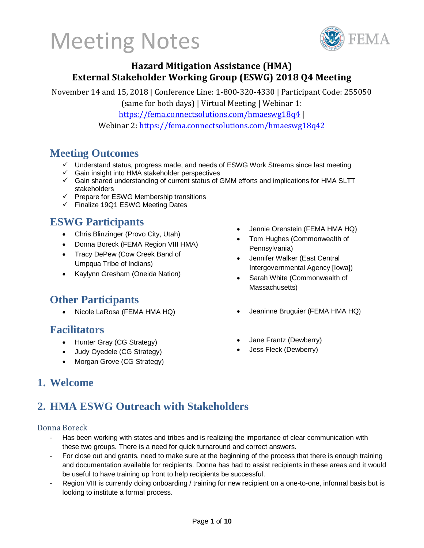

### **Hazard Mitigation Assistance (HMA) External Stakeholder Working Group (ESWG) 2018 Q4 Meeting**

November 14 and 15, 2018 | Conference Line: 1-800-320-4330 | Participant Code: 255050

(same for both days) | Virtual Meeting | Webinar 1:

https://fema.connectsolutions.com/hmaeswg18q4 |

Webinar 2: https://fema.connectsolutions.com/hmaeswg18q42

### **Meeting Outcomes**

- ✓ Understand status, progress made, and needs of ESWG Work Streams since last meeting
- $\checkmark$  Gain insight into HMA stakeholder perspectives
- ✓ Gain shared understanding of current status of GMM efforts and implications for HMA SLTT stakeholders
- ✓ Prepare for ESWG Membership transitions
- ✓ Finalize 19Q1 ESWG Meeting Dates

### **ESWG Participants**

- Chris Blinzinger (Provo City, Utah)
- Donna Boreck (FEMA Region VIII HMA)
- Tracy DePew (Cow Creek Band of Umpqua Tribe of Indians)
- Kaylynn Gresham (Oneida Nation)

### **Other Participants**

#### **Facilitators**

- Hunter Gray (CG Strategy)
- Judy Oyedele (CG Strategy)
- Morgan Grove (CG Strategy)
- Jennie Orenstein (FEMA HMA HQ)
- Tom Hughes (Commonwealth of Pennsylvania)
- Jennifer Walker (East Central Intergovernmental Agency [Iowa])
- Sarah White (Commonwealth of Massachusetts)
- Nicole LaRosa (FEMA HMA HQ) Jeaninne Bruguier (FEMA HMA HQ)
	- Jane Frantz (Dewberry)
	- Jess Fleck (Dewberry)

### **1. Welcome**

## **2. HMA ESWG Outreach with Stakeholders**

#### Donna Boreck

- Has been working with states and tribes and is realizing the importance of clear communication with these two groups. There is a need for quick turnaround and correct answers.
- For close out and grants, need to make sure at the beginning of the process that there is enough training and documentation available for recipients. Donna has had to assist recipients in these areas and it would be useful to have training up front to help recipients be successful.
- Region VIII is currently doing onboarding / training for new recipient on a one-to-one, informal basis but is looking to institute a formal process.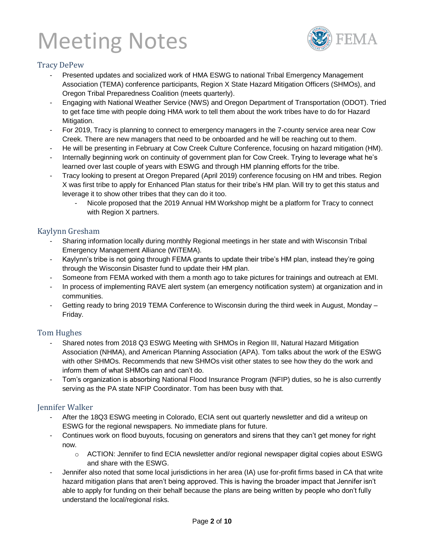

#### Tracy DePew

- Presented updates and socialized work of HMA ESWG to national Tribal Emergency Management Association (TEMA) conference participants, Region X State Hazard Mitigation Officers (SHMOs), and Oregon Tribal Preparedness Coalition (meets quarterly).
- Engaging with National Weather Service (NWS) and Oregon Department of Transportation (ODOT). Tried to get face time with people doing HMA work to tell them about the work tribes have to do for Hazard Mitigation.
- For 2019, Tracy is planning to connect to emergency managers in the 7-county service area near Cow Creek. There are new managers that need to be onboarded and he will be reaching out to them.
- He will be presenting in February at Cow Creek Culture Conference, focusing on hazard mitigation (HM).
- Internally beginning work on continuity of government plan for Cow Creek. Trying to leverage what he's learned over last couple of years with ESWG and through HM planning efforts for the tribe.
- Tracy looking to present at Oregon Prepared (April 2019) conference focusing on HM and tribes. Region X was first tribe to apply for Enhanced Plan status for their tribe's HM plan. Will try to get this status and leverage it to show other tribes that they can do it too.
	- Nicole proposed that the 2019 Annual HM Workshop might be a platform for Tracy to connect with Region X partners.

#### Kaylynn Gresham

- Sharing information locally during monthly Regional meetings in her state and with Wisconsin Tribal Emergency Management Alliance (WiTEMA).
- Kaylynn's tribe is not going through FEMA grants to update their tribe's HM plan, instead they're going through the Wisconsin Disaster fund to update their HM plan.
- Someone from FEMA worked with them a month ago to take pictures for trainings and outreach at EMI.
- In process of implementing RAVE alert system (an emergency notification system) at organization and in communities.
- Getting ready to bring 2019 TEMA Conference to Wisconsin during the third week in August, Monday Friday.

#### Tom Hughes

- Shared notes from 2018 Q3 ESWG Meeting with SHMOs in Region III, Natural Hazard Mitigation Association (NHMA), and American Planning Association (APA). Tom talks about the work of the ESWG with other SHMOs. Recommends that new SHMOs visit other states to see how they do the work and inform them of what SHMOs can and can't do.
- Tom's organization is absorbing National Flood Insurance Program (NFIP) duties, so he is also currently serving as the PA state NFIP Coordinator. Tom has been busy with that.

#### Jennifer Walker

- After the 18Q3 ESWG meeting in Colorado, ECIA sent out quarterly newsletter and did a writeup on ESWG for the regional newspapers. No immediate plans for future.
- Continues work on flood buyouts, focusing on generators and sirens that they can't get money for right now.
	- o ACTION: Jennifer to find ECIA newsletter and/or regional newspaper digital copies about ESWG and share with the ESWG.
- Jennifer also noted that some local jurisdictions in her area (IA) use for-profit firms based in CA that write hazard mitigation plans that aren't being approved. This is having the broader impact that Jennifer isn't able to apply for funding on their behalf because the plans are being written by people who don't fully understand the local/regional risks.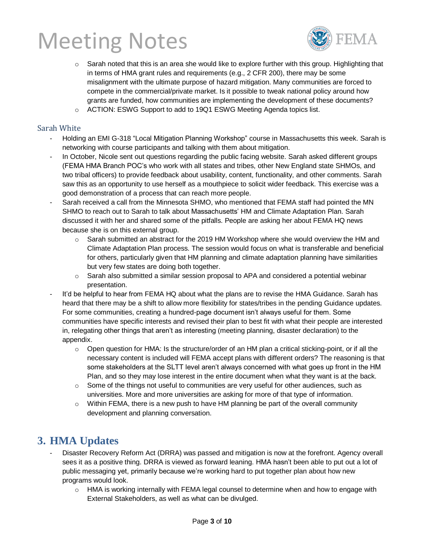

- $\circ$  Sarah noted that this is an area she would like to explore further with this group. Highlighting that in terms of HMA grant rules and requirements (e.g., 2 CFR 200), there may be some misalignment with the ultimate purpose of hazard mitigation. Many communities are forced to compete in the commercial/private market. Is it possible to tweak national policy around how grants are funded, how communities are implementing the development of these documents?
- o ACTION: ESWG Support to add to 19Q1 ESWG Meeting Agenda topics list.

#### Sarah White

- Holding an EMI G-318 "Local Mitigation Planning Workshop" course in Massachusetts this week. Sarah is networking with course participants and talking with them about mitigation.
- In October, Nicole sent out questions regarding the public facing website. Sarah asked different groups (FEMA HMA Branch POC's who work with all states and tribes, other New England state SHMOs, and two tribal officers) to provide feedback about usability, content, functionality, and other comments. Sarah saw this as an opportunity to use herself as a mouthpiece to solicit wider feedback. This exercise was a good demonstration of a process that can reach more people.
- Sarah received a call from the Minnesota SHMO, who mentioned that FEMA staff had pointed the MN SHMO to reach out to Sarah to talk about Massachusetts' HM and Climate Adaptation Plan. Sarah discussed it with her and shared some of the pitfalls. People are asking her about FEMA HQ news because she is on this external group.
	- $\circ$  Sarah submitted an abstract for the 2019 HM Workshop where she would overview the HM and Climate Adaptation Plan process. The session would focus on what is transferable and beneficial for others, particularly given that HM planning and climate adaptation planning have similarities but very few states are doing both together.
	- $\circ$  Sarah also submitted a similar session proposal to APA and considered a potential webinar presentation.
- It'd be helpful to hear from FEMA HQ about what the plans are to revise the HMA Guidance. Sarah has heard that there may be a shift to allow more flexibility for states/tribes in the pending Guidance updates. For some communities, creating a hundred-page document isn't always useful for them. Some communities have specific interests and revised their plan to best fit with what their people are interested in, relegating other things that aren't as interesting (meeting planning, disaster declaration) to the appendix.
	- $\circ$  Open question for HMA: Is the structure/order of an HM plan a critical sticking-point, or if all the necessary content is included will FEMA accept plans with different orders? The reasoning is that some stakeholders at the SLTT level aren't always concerned with what goes up front in the HM Plan, and so they may lose interest in the entire document when what they want is at the back.
	- $\circ$  Some of the things not useful to communities are very useful for other audiences, such as universities. More and more universities are asking for more of that type of information.
	- $\circ$  Within FEMA, there is a new push to have HM planning be part of the overall community development and planning conversation.

#### **3. HMA Updates**

- Disaster Recovery Reform Act (DRRA) was passed and mitigation is now at the forefront. Agency overall sees it as a positive thing. DRRA is viewed as forward leaning. HMA hasn't been able to put out a lot of public messaging yet, primarily because we're working hard to put together plan about how new programs would look.
	- $\circ$  HMA is working internally with FEMA legal counsel to determine when and how to engage with External Stakeholders, as well as what can be divulged.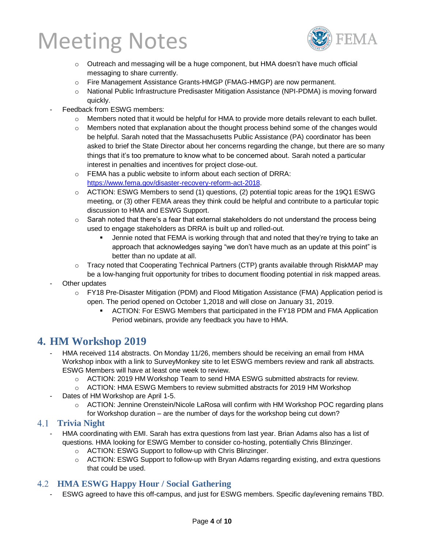

- o Outreach and messaging will be a huge component, but HMA doesn't have much official messaging to share currently.
- o Fire Management Assistance Grants-HMGP (FMAG-HMGP) are now permanent.
- o National Public Infrastructure Predisaster Mitigation Assistance (NPI-PDMA) is moving forward quickly.
- Feedback from ESWG members:
	- $\circ$  Members noted that it would be helpful for HMA to provide more details relevant to each bullet.
	- $\circ$  Members noted that explanation about the thought process behind some of the changes would be helpful. Sarah noted that the Massachusetts Public Assistance (PA) coordinator has been asked to brief the State Director about her concerns regarding the change, but there are so many things that it's too premature to know what to be concerned about. Sarah noted a particular interest in penalties and incentives for project close-out.
	- o FEMA has a public website to inform about each section of DRRA: [https://www.fema.gov/disaster-recovery-reform-act-2018.](https://www.fema.gov/disaster-recovery-reform-act-2018)
	- $\circ$  ACTION: ESWG Members to send (1) questions, (2) potential topic areas for the 19Q1 ESWG meeting, or (3) other FEMA areas they think could be helpful and contribute to a particular topic discussion to HMA and ESWG Support.
	- $\circ$  Sarah noted that there's a fear that external stakeholders do not understand the process being used to engage stakeholders as DRRA is built up and rolled-out.
		- **■** Jennie noted that FEMA is working through that and noted that they're trying to take an approach that acknowledges saying "we don't have much as an update at this point" is better than no update at all.
	- o Tracy noted that Cooperating Technical Partners (CTP) grants available through RiskMAP may be a low-hanging fruit opportunity for tribes to document flooding potential in risk mapped areas.
- Other updates
	- o FY18 Pre-Disaster Mitigation (PDM) and Flood Mitigation Assistance (FMA) Application period is open. The period opened on October 1,2018 and will close on January 31, 2019.
		- ACTION: For ESWG Members that participated in the FY18 PDM and FMA Application Period webinars, provide any feedback you have to HMA.

### **4. HM Workshop 2019**

- HMA received 114 abstracts. On Monday 11/26, members should be receiving an email from HMA Workshop inbox with a link to SurveyMonkey site to let ESWG members review and rank all abstracts. ESWG Members will have at least one week to review.
	- o ACTION: 2019 HM Workshop Team to send HMA ESWG submitted abstracts for review.
	- o ACTION: HMA ESWG Members to review submitted abstracts for 2019 HM Workshop
- Dates of HM Workshop are April 1-5.
	- o ACTION: Jennine Orenstein/Nicole LaRosa will confirm with HM Workshop POC regarding plans for Workshop duration – are the number of days for the workshop being cut down?

#### **Trivia Night**

- HMA coordinating with EMI. Sarah has extra questions from last year. Brian Adams also has a list of questions. HMA looking for ESWG Member to consider co-hosting, potentially Chris Blinzinger.
	- o ACTION: ESWG Support to follow-up with Chris Blinzinger.
	- o ACTION: ESWG Support to follow-up with Bryan Adams regarding existing, and extra questions that could be used.

#### **HMA ESWG Happy Hour / Social Gathering**

ESWG agreed to have this off-campus, and just for ESWG members. Specific day/evening remains TBD.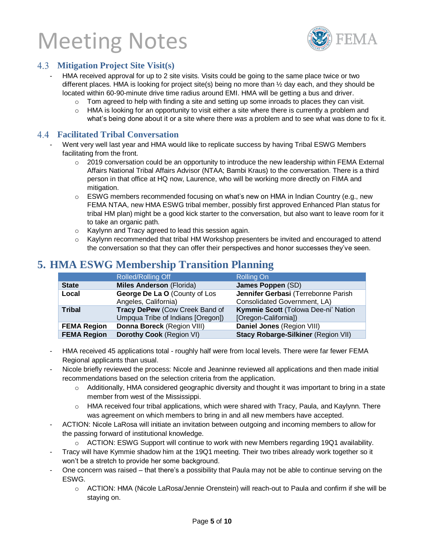

#### **Mitigation Project Site Visit(s)**

- HMA received approval for up to 2 site visits. Visits could be going to the same place twice or two different places. HMA is looking for project site(s) being no more than ½ day each, and they should be located within 60-90-minute drive time radius around EMI. HMA will be getting a bus and driver.
	- $\circ$  Tom agreed to help with finding a site and setting up some inroads to places they can visit.
	- o HMA is looking for an opportunity to visit either a site where there is currently a problem and what's being done about it or a site where there *was* a problem and to see what was done to fix it.

#### **Facilitated Tribal Conversation**

- Went very well last year and HMA would like to replicate success by having Tribal ESWG Members facilitating from the front.
	- $\circ$  2019 conversation could be an opportunity to introduce the new leadership within FEMA External Affairs National Tribal Affairs Advisor (NTAA; Bambi Kraus) to the conversation. There is a third person in that office at HQ now, Laurence, who will be working more directly on FIMA and mitigation.
	- $\circ$  ESWG members recommended focusing on what's new on HMA in Indian Country (e.g., new FEMA NTAA, new HMA ESWG tribal member, possibly first approved Enhanced Plan status for tribal HM plan) might be a good kick starter to the conversation, but also want to leave room for it to take an organic path.
	- o Kaylynn and Tracy agreed to lead this session again.
	- o Kaylynn recommended that tribal HM Workshop presenters be invited and encouraged to attend the conversation so that they can offer their perspectives and honor successes they've seen.

### **5. HMA ESWG Membership Transition Planning**

|                    | <b>Rolled/Rolling Off</b>                                           | <b>Rolling On</b>                                                   |
|--------------------|---------------------------------------------------------------------|---------------------------------------------------------------------|
| <b>State</b>       | <b>Miles Anderson (Florida)</b>                                     | James Poppen (SD)                                                   |
| Local              | George De La O (County of Los<br>Angeles, California)               | Jennifer Gerbasi (Terrebonne Parish<br>Consolidated Government, LA) |
| <b>Tribal</b>      | Tracy DePew (Cow Creek Band of<br>Umpqua Tribe of Indians [Oregon]) | Kymmie Scott (Tolowa Dee-ni' Nation<br>[Oregon-California])         |
| <b>FEMA Region</b> | Donna Boreck (Region VIII)                                          | Daniel Jones (Region VIII)                                          |
| <b>FEMA Region</b> | Dorothy Cook (Region VI)                                            | Stacy Robarge-Silkiner (Region VII)                                 |

- HMA received 45 applications total roughly half were from local levels. There were far fewer FEMA Regional applicants than usual.
- Nicole briefly reviewed the process: Nicole and Jeaninne reviewed all applications and then made initial recommendations based on the selection criteria from the application.
	- o Additionally, HMA considered geographic diversity and thought it was important to bring in a state member from west of the Mississippi.
	- o HMA received four tribal applications, which were shared with Tracy, Paula, and Kaylynn. There was agreement on which members to bring in and all new members have accepted.
- ACTION: Nicole LaRosa will initiate an invitation between outgoing and incoming members to allow for the passing forward of institutional knowledge.
	- o ACTION: ESWG Support will continue to work with new Members regarding 19Q1 availability.
- Tracy will have Kymmie shadow him at the 19Q1 meeting. Their two tribes already work together so it won't be a stretch to provide her some background.
- One concern was raised that there's a possibility that Paula may not be able to continue serving on the ESWG.
	- o ACTION: HMA (Nicole LaRosa/Jennie Orenstein) will reach-out to Paula and confirm if she will be staying on.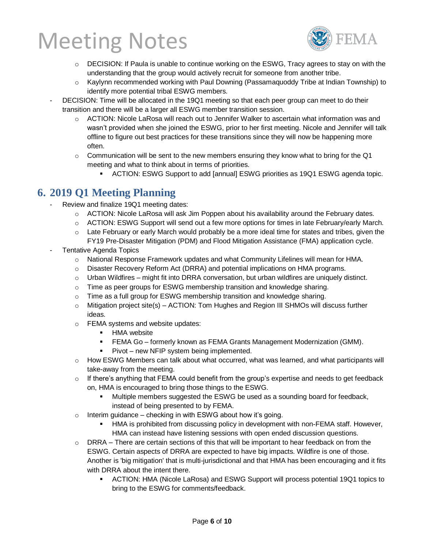

- $\circ$  DECISION: If Paula is unable to continue working on the ESWG, Tracy agrees to stay on with the understanding that the group would actively recruit for someone from another tribe.
- o Kaylynn recommended working with Paul Downing (Passamaquoddy Tribe at Indian Township) to identify more potential tribal ESWG members.
- DECISION: Time will be allocated in the 19Q1 meeting so that each peer group can meet to do their transition and there will be a larger all ESWG member transition session.
	- $\circ$  ACTION: Nicole LaRosa will reach out to Jennifer Walker to ascertain what information was and wasn't provided when she joined the ESWG, prior to her first meeting. Nicole and Jennifer will talk offline to figure out best practices for these transitions since they will now be happening more often.
	- $\circ$  Communication will be sent to the new members ensuring they know what to bring for the Q1 meeting and what to think about in terms of priorities.
		- ACTION: ESWG Support to add [annual] ESWG priorities as 19Q1 ESWG agenda topic.

### **6. 2019 Q1 Meeting Planning**

- Review and finalize 19Q1 meeting dates:
	- $\circ$  ACTION: Nicole LaRosa will ask Jim Poppen about his availability around the February dates.
	- $\circ$  ACTION: ESWG Support will send out a few more options for times in late February/early March.
	- $\circ$  Late February or early March would probably be a more ideal time for states and tribes, given the FY19 Pre-Disaster Mitigation (PDM) and Flood Mitigation Assistance (FMA) application cycle.
- Tentative Agenda Topics
	- $\circ$  National Response Framework updates and what Community Lifelines will mean for HMA.
	- o Disaster Recovery Reform Act (DRRA) and potential implications on HMA programs.
	- $\circ$  Urban Wildfires might fit into DRRA conversation, but urban wildfires are uniquely distinct.
	- $\circ$  Time as peer groups for ESWG membership transition and knowledge sharing.
	- o Time as a full group for ESWG membership transition and knowledge sharing.
	- $\circ$  Mitigation project site(s) ACTION: Tom Hughes and Region III SHMOs will discuss further ideas.
	- o FEMA systems and website updates:
		- **E** HMA website
		- **ERMA Go** formerly known as FEMA Grants Management Modernization (GMM).
		- Pivot new NFIP system being implemented.
	- $\circ$  How ESWG Members can talk about what occurred, what was learned, and what participants will take-away from the meeting.
	- $\circ$  If there's anything that FEMA could benefit from the group's expertise and needs to get feedback on, HMA is encouraged to bring those things to the ESWG.
		- Multiple members suggested the ESWG be used as a sounding board for feedback, instead of being presented to by FEMA.
	- $\circ$  Interim guidance checking in with ESWG about how it's going.
		- HMA is prohibited from discussing policy in development with non-FEMA staff. However, HMA can instead have listening sessions with open ended discussion questions.
	- $\circ$  DRRA There are certain sections of this that will be important to hear feedback on from the ESWG. Certain aspects of DRRA are expected to have big impacts. Wildfire is one of those. Another is 'big mitigation' that is multi-jurisdictional and that HMA has been encouraging and it fits with DRRA about the intent there.
		- ACTION: HMA (Nicole LaRosa) and ESWG Support will process potential 19Q1 topics to bring to the ESWG for comments/feedback.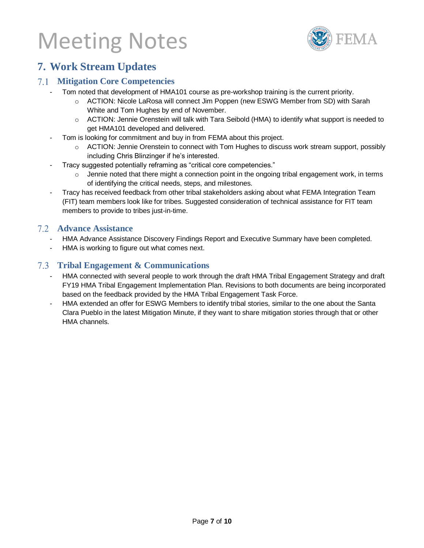

### **7. Work Stream Updates**

#### **Mitigation Core Competencies**

- Tom noted that development of HMA101 course as pre-workshop training is the current priority.
	- o ACTION: Nicole LaRosa will connect Jim Poppen (new ESWG Member from SD) with Sarah White and Tom Hughes by end of November.
	- o ACTION: Jennie Orenstein will talk with Tara Seibold (HMA) to identify what support is needed to get HMA101 developed and delivered.
- Tom is looking for commitment and buy in from FEMA about this project.
	- $\circ$  ACTION: Jennie Orenstein to connect with Tom Hughes to discuss work stream support, possibly including Chris Blinzinger if he's interested.
- Tracy suggested potentially reframing as "critical core competencies."
	- o Jennie noted that there might a connection point in the ongoing tribal engagement work, in terms of identifying the critical needs, steps, and milestones.
- Tracy has received feedback from other tribal stakeholders asking about what FEMA Integration Team (FIT) team members look like for tribes. Suggested consideration of technical assistance for FIT team members to provide to tribes just-in-time.

#### **Advance Assistance**

- HMA Advance Assistance Discovery Findings Report and Executive Summary have been completed.
- HMA is working to figure out what comes next.

#### **Tribal Engagement & Communications**

- HMA connected with several people to work through the draft HMA Tribal Engagement Strategy and draft FY19 HMA Tribal Engagement Implementation Plan. Revisions to both documents are being incorporated based on the feedback provided by the HMA Tribal Engagement Task Force.
- HMA extended an offer for ESWG Members to identify tribal stories, similar to the one about the Santa Clara Pueblo in the latest Mitigation Minute, if they want to share mitigation stories through that or other HMA channels.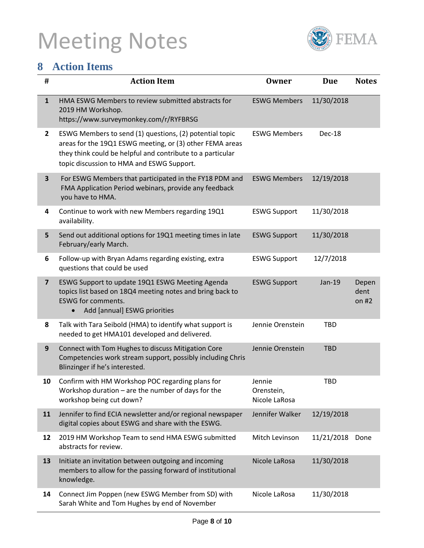

## **8 Action Items**

| $\#$                    | <b>Action Item</b>                                                                                                                                                                                                             | <b>Owner</b>                          | <b>Due</b> | <b>Notes</b>             |
|-------------------------|--------------------------------------------------------------------------------------------------------------------------------------------------------------------------------------------------------------------------------|---------------------------------------|------------|--------------------------|
| $\mathbf{1}$            | HMA ESWG Members to review submitted abstracts for<br>2019 HM Workshop.<br>https://www.surveymonkey.com/r/RYFBRSG                                                                                                              | <b>ESWG Members</b>                   | 11/30/2018 |                          |
| $\mathbf{2}$            | ESWG Members to send (1) questions, (2) potential topic<br>areas for the 19Q1 ESWG meeting, or (3) other FEMA areas<br>they think could be helpful and contribute to a particular<br>topic discussion to HMA and ESWG Support. | <b>ESWG Members</b>                   | Dec-18     |                          |
| $\overline{\mathbf{3}}$ | For ESWG Members that participated in the FY18 PDM and<br>FMA Application Period webinars, provide any feedback<br>you have to HMA.                                                                                            | <b>ESWG Members</b>                   | 12/19/2018 |                          |
| 4                       | Continue to work with new Members regarding 19Q1<br>availability.                                                                                                                                                              | <b>ESWG Support</b>                   | 11/30/2018 |                          |
| 5                       | Send out additional options for 19Q1 meeting times in late<br>February/early March.                                                                                                                                            | <b>ESWG Support</b>                   | 11/30/2018 |                          |
| 6                       | Follow-up with Bryan Adams regarding existing, extra<br>questions that could be used                                                                                                                                           | <b>ESWG Support</b>                   | 12/7/2018  |                          |
| $\overline{\mathbf{z}}$ | ESWG Support to update 19Q1 ESWG Meeting Agenda<br>topics list based on 18Q4 meeting notes and bring back to<br><b>ESWG for comments.</b><br>Add [annual] ESWG priorities                                                      | <b>ESWG Support</b>                   | Jan-19     | Depen<br>dent<br>on $#2$ |
| 8                       | Talk with Tara Seibold (HMA) to identify what support is<br>needed to get HMA101 developed and delivered.                                                                                                                      | Jennie Orenstein                      | <b>TBD</b> |                          |
| 9                       | Connect with Tom Hughes to discuss Mitigation Core<br>Competencies work stream support, possibly including Chris<br>Blinzinger if he's interested.                                                                             | Jennie Orenstein                      | <b>TBD</b> |                          |
| 10                      | Confirm with HM Workshop POC regarding plans for<br>Workshop duration $-$ are the number of days for the<br>workshop being cut down?                                                                                           | Jennie<br>Orenstein,<br>Nicole LaRosa | <b>TBD</b> |                          |
| 11                      | Jennifer to find ECIA newsletter and/or regional newspaper<br>digital copies about ESWG and share with the ESWG.                                                                                                               | Jennifer Walker                       | 12/19/2018 |                          |
| 12                      | 2019 HM Workshop Team to send HMA ESWG submitted<br>abstracts for review.                                                                                                                                                      | Mitch Levinson                        | 11/21/2018 | Done                     |
| 13                      | Initiate an invitation between outgoing and incoming<br>members to allow for the passing forward of institutional<br>knowledge.                                                                                                | Nicole LaRosa                         | 11/30/2018 |                          |
| 14                      | Connect Jim Poppen (new ESWG Member from SD) with<br>Sarah White and Tom Hughes by end of November                                                                                                                             | Nicole LaRosa                         | 11/30/2018 |                          |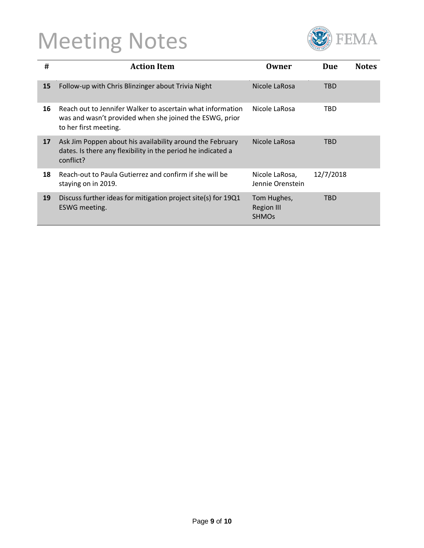

| #  | <b>Action Item</b>                                                                                                                             | Owner                                            | Due        | <b>Notes</b> |
|----|------------------------------------------------------------------------------------------------------------------------------------------------|--------------------------------------------------|------------|--------------|
| 15 | Follow-up with Chris Blinzinger about Trivia Night                                                                                             | Nicole LaRosa                                    | <b>TBD</b> |              |
| 16 | Reach out to Jennifer Walker to ascertain what information<br>was and wasn't provided when she joined the ESWG, prior<br>to her first meeting. | Nicole LaRosa                                    | TBD        |              |
| 17 | Ask Jim Poppen about his availability around the February<br>dates. Is there any flexibility in the period he indicated a<br>conflict?         | Nicole LaRosa                                    | TBD        |              |
| 18 | Reach-out to Paula Gutierrez and confirm if she will be<br>staying on in 2019.                                                                 | Nicole LaRosa,<br>Jennie Orenstein               | 12/7/2018  |              |
| 19 | Discuss further ideas for mitigation project site(s) for 19Q1<br>ESWG meeting.                                                                 | Tom Hughes,<br><b>Region III</b><br><b>SHMOS</b> | TBD        |              |